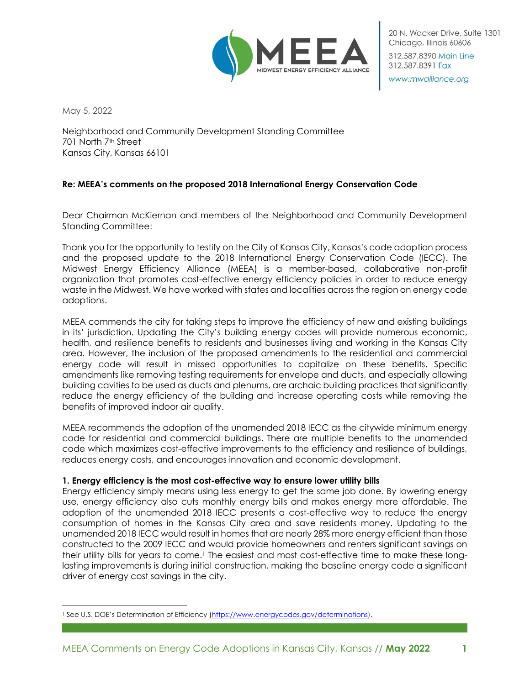

20 N. Wacker Drive, Suite 1301 Chicago, Illinois 60606 312,587,8390 Main Line

www.mwalliance.org

312.587.8391 Fax

May 5, 2022

Neighborhood and Community Development Standing Committee 701 North 7th Street Kansas City, Kansas 66101

# **Re: MEEA's comments on the proposed 2018 International Energy Conservation Code**

Dear Chairman McKiernan and members of the Neighborhood and Community Development Standing Committee:

Thank you for the opportunity to testify on the City of Kansas City, Kansas's code adoption process and the proposed update to the 2018 International Energy Conservation Code (IECC). The Midwest Energy Efficiency Alliance (MEEA) is a member-based, collaborative non-profit organization that promotes cost-effective energy efficiency policies in order to reduce energy waste in the Midwest. We have worked with states and localities across the region on energy code adoptions.

MEEA commends the city for taking steps to improve the efficiency of new and existing buildings in its' jurisdiction. Updating the City's building energy codes will provide numerous economic, health, and resilience benefits to residents and businesses living and working in the Kansas City area. However, the inclusion of the proposed amendments to the residential and commercial energy code will result in missed opportunities to capitalize on these benefits. Specific amendments like removing testing requirements for envelope and ducts, and especially allowing building cavities to be used as ducts and plenums, are archaic building practices that significantly reduce the energy efficiency of the building and increase operating costs while removing the benefits of improved indoor air quality.

MEEA recommends the adoption of the unamended 2018 IECC as the citywide minimum energy code for residential and commercial buildings. There are multiple benefits to the unamended code which maximizes cost-effective improvements to the efficiency and resilience of buildings, reduces energy costs, and encourages innovation and economic development.

#### **1. Energy efficiency is the most cost-effective way to ensure lower utility bills**

Energy efficiency simply means using less energy to get the same job done. By lowering energy use, energy efficiency also cuts monthly energy bills and makes energy more affordable. The adoption of the unamended 2018 IECC presents a cost-effective way to reduce the energy consumption of homes in the Kansas City area and save residents money. Updating to the unamended 2018 IECC would result in homes that are nearly 28% more energy efficient than those constructed to the 2009 IECC and would provide homeowners and renters significant savings on their utility bills for years to come.<sup>1</sup> The easiest and most cost-effective time to make these longlasting improvements is during initial construction, making the baseline energy code a significant driver of energy cost savings in the city.

<sup>&</sup>lt;sup>1</sup> See U.S. DOE's Determination of Efficiency [\(https://www.energycodes.gov/determinations\)](https://www.energycodes.gov/determinations).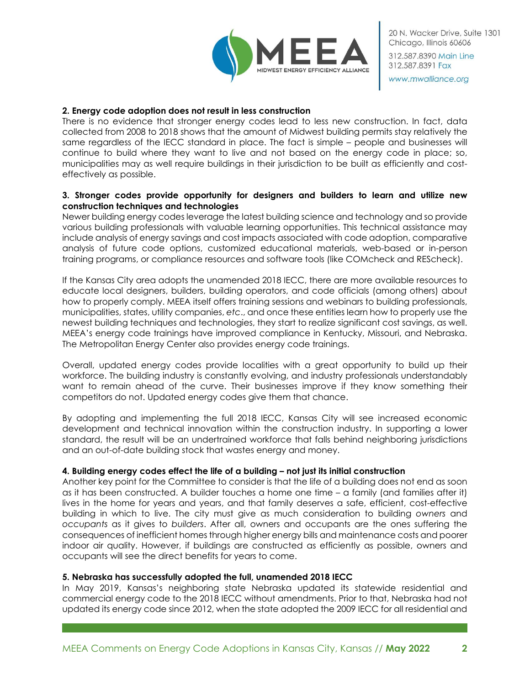

20 N. Wacker Drive, Suite 1301 Chicago, Illinois 60606 312,587,8390 Main Line 312.587.8391 Fax

www.mwalliance.org

#### **2. Energy code adoption does not result in less construction**

There is no evidence that stronger energy codes lead to less new construction. In fact, data collected from 2008 to 2018 shows that the amount of Midwest building permits stay relatively the same regardless of the IECC standard in place. The fact is simple – people and businesses will continue to build where they want to live and not based on the energy code in place; so, municipalities may as well require buildings in their jurisdiction to be built as efficiently and costeffectively as possible.

# **3. Stronger codes provide opportunity for designers and builders to learn and utilize new construction techniques and technologies**

Newer building energy codes leverage the latest building science and technology and so provide various building professionals with valuable learning opportunities. This technical assistance may include analysis of energy savings and cost impacts associated with code adoption, comparative analysis of future code options, customized educational materials, web-based or in-person training programs, or compliance resources and software tools (like COMcheck and REScheck).

If the Kansas City area adopts the unamended 2018 IECC, there are more available resources to educate local designers, builders, building operators, and code officials (among others) about how to properly comply. MEEA itself offers training sessions and webinars to building professionals, municipalities, states, utility companies, *etc*., and once these entities learn how to properly use the newest building techniques and technologies, they start to realize significant cost savings, as well. MEEA's energy code trainings have improved compliance in Kentucky, Missouri, and Nebraska. The Metropolitan Energy Center also provides energy code trainings.

Overall, updated energy codes provide localities with a great opportunity to build up their workforce. The building industry is constantly evolving, and industry professionals understandably want to remain ahead of the curve. Their businesses improve if they know something their competitors do not. Updated energy codes give them that chance.

By adopting and implementing the full 2018 IECC, Kansas City will see increased economic development and technical innovation within the construction industry. In supporting a lower standard, the result will be an undertrained workforce that falls behind neighboring jurisdictions and an out-of-date building stock that wastes energy and money.

# **4. Building energy codes effect the life of a building – not just its initial construction**

Another key point for the Committee to consider is that the life of a building does not end as soon as it has been constructed. A builder touches a home one time – a family (and families after it) lives in the home for years and years, and that family deserves a safe, efficient, cost-effective building in which to live. The city must give as much consideration to building *owners* and *occupants* as it gives to *builders*. After all, owners and occupants are the ones suffering the consequences of inefficient homes through higher energy bills and maintenance costs and poorer indoor air quality. However, if buildings are constructed as efficiently as possible, owners and occupants will see the direct benefits for years to come.

#### **5. Nebraska has successfully adopted the full, unamended 2018 IECC**

In May 2019, Kansas's neighboring state Nebraska updated its statewide residential and commercial energy code to the 2018 IECC without amendments. Prior to that, Nebraska had not updated its energy code since 2012, when the state adopted the 2009 IECC for all residential and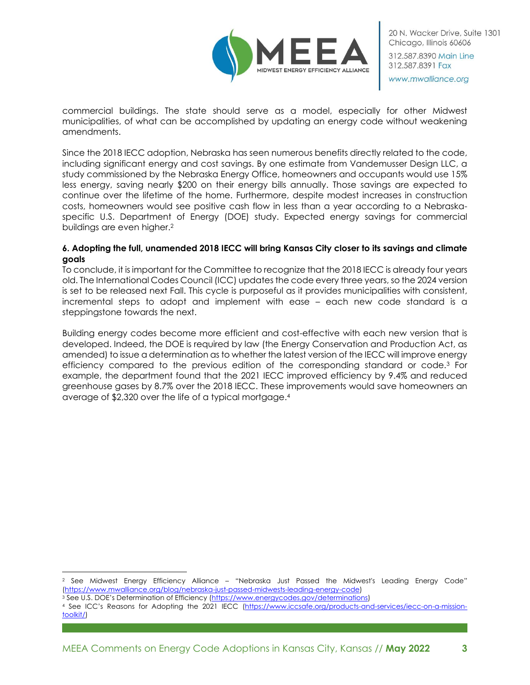

commercial buildings. The state should serve as a model, especially for other Midwest municipalities, of what can be accomplished by updating an energy code without weakening amendments.

Since the 2018 IECC adoption, Nebraska has seen numerous benefits directly related to the code, including significant energy and cost savings. By one estimate from Vandemusser Design LLC, a study commissioned by the Nebraska Energy Office, homeowners and occupants would use 15% less energy, saving nearly \$200 on their energy bills annually. Those savings are expected to continue over the lifetime of the home. Furthermore, despite modest increases in construction costs, homeowners would see positive cash flow in less than a year according to a Nebraskaspecific U.S. Department of Energy (DOE) study. Expected energy savings for commercial buildings are even higher. 2

### **6. Adopting the full, unamended 2018 IECC will bring Kansas City closer to its savings and climate goals**

To conclude, it is important for the Committee to recognize that the 2018 IECC is already four years old. The International Codes Council (ICC) updates the code every three years, so the 2024 version is set to be released next Fall. This cycle is purposeful as it provides municipalities with consistent, incremental steps to adopt and implement with ease – each new code standard is a steppingstone towards the next.

Building energy codes become more efficient and cost-effective with each new version that is developed. Indeed, the DOE is required by law (the Energy Conservation and Production Act, as amended) to issue a determination as to whether the latest version of the IECC will improve energy efficiency compared to the previous edition of the corresponding standard or code.<sup>3</sup> For example, the department found that the 2021 IECC improved efficiency by 9.4% and reduced greenhouse gases by 8.7% over the 2018 IECC. These improvements would save homeowners an average of \$2,320 over the life of a typical mortgage.<sup>4</sup>

<sup>2</sup> See Midwest Energy Efficiency Alliance – "Nebraska Just Passed the Midwest's Leading Energy Code" [\(https://www.mwalliance.org/blog/nebraska-just-passed-midwests-leading-energy-code\)](https://www.mwalliance.org/blog/nebraska-just-passed-midwests-leading-energy-code)

<sup>3</sup> See U.S. DOE's Determination of Efficiency ([https://www.energycodes.gov/determinations\)](https://www.energycodes.gov/determinations)

<sup>4</sup> See ICC's Reasons for Adopting the 2021 IECC [\(https://www.iccsafe.org/products-and-services/iecc-on-a-mission](https://www.iccsafe.org/products-and-services/iecc-on-a-mission-toolkit/)[toolkit/\)](https://www.iccsafe.org/products-and-services/iecc-on-a-mission-toolkit/)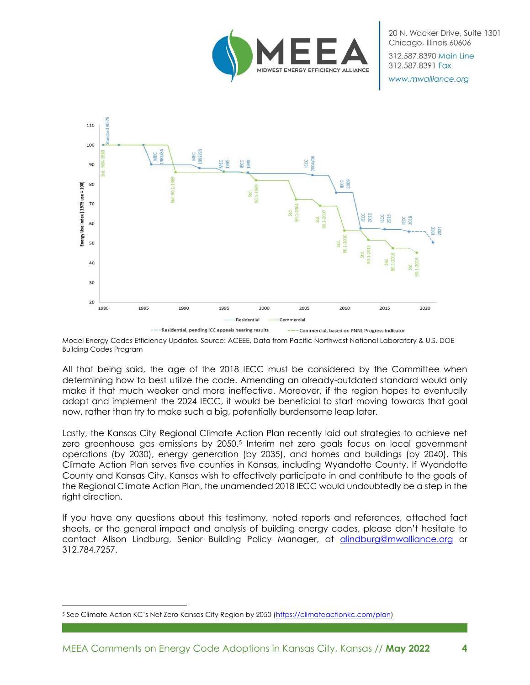

312,587,8390 Main Line 312.587.8391 Fax

www.mwalliance.org



Model Energy Codes Efficiency Updates. Source: ACEEE, Data from Pacific Northwest National Laboratory & U.S. DOE Building Codes Program

All that being said, the age of the 2018 IECC must be considered by the Committee when determining how to best utilize the code. Amending an already-outdated standard would only make it that much weaker and more ineffective. Moreover, if the region hopes to eventually adopt and implement the 2024 IECC, it would be beneficial to start moving towards that goal now, rather than try to make such a big, potentially burdensome leap later.

Lastly, the Kansas City Regional Climate Action Plan recently laid out strategies to achieve net zero greenhouse gas emissions by 2050.<sup>5</sup> Interim net zero goals focus on local government operations (by 2030), energy generation (by 2035), and homes and buildings (by 2040). This Climate Action Plan serves five counties in Kansas, including Wyandotte County. If Wyandotte County and Kansas City, Kansas wish to effectively participate in and contribute to the goals of the Regional Climate Action Plan, the unamended 2018 IECC would undoubtedly be a step in the right direction.

If you have any questions about this testimony, noted reports and references, attached fact sheets, or the general impact and analysis of building energy codes, please don't hesitate to contact Alison Lindburg, Senior Building Policy Manager, at [alindburg@mwalliance.org](mailto:alindburg@mwalliance.org) or 312.784.7257.

<sup>5</sup> See Climate Action KC's Net Zero Kansas City Region by 2050 ([https://climateactionkc.com/plan\)](https://climateactionkc.com/plan)